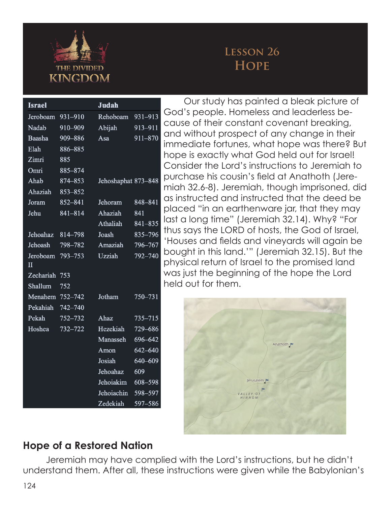

## **Lesson 26 Hope**

| <b>Israel</b>   |         | Judah               |             |
|-----------------|---------|---------------------|-------------|
| Jeroboam        | 931-910 | Rehoboam            | $931 - 913$ |
| Nadab           | 910-909 | Abijah              | 913-911     |
| Baasha          | 909-886 | Asa                 | 911-870     |
| Elah            | 886-885 |                     |             |
| Zimri           | 885     |                     |             |
| Omri            | 885-874 |                     |             |
| Ahab            | 874-853 | Jehoshaphat 873-848 |             |
| Ahaziah         | 853-852 |                     |             |
| Joram           | 852-841 | Jehoram             | 848-841     |
| Jehu            | 841-814 | Ahaziah             | 841         |
|                 |         | Athaliah            | 841-835     |
| Jehoahaz        | 814-798 | Joash               | 835-796     |
| Jehoash         | 798-782 | Amaziah             | 796–767     |
| Jeroboam        | 793-753 | <b>Uzziah</b>       | 792-740     |
| H               |         |                     |             |
| Zechariah       | 753     |                     |             |
| Shallum         | 752     |                     |             |
| Menahem 752-742 |         | Jotham              | 750-731     |
| Pekahiah        | 742-740 |                     |             |
| Pekah           | 752-732 | Ahaz                | 735-715     |
| Hoshea          | 732-722 | Hezekiah            | 729-686     |
|                 |         | Manasseh            | 696-642     |
|                 |         | Amon                | 642-640     |
|                 |         | Josiah              | 640-609     |
|                 |         | Jehoahaz            | 609         |
|                 |         | Jehoiakim           | 608-598     |
|                 |         | Jehoiachin          | 598-597     |
|                 |         | Zedekiah            | 597-586     |

Our study has painted a bleak picture of God's people. Homeless and leaderless because of their constant covenant breaking, and without prospect of any change in their immediate fortunes, what hope was there? But hope is exactly what God held out for Israel! Consider the Lord's instructions to Jeremiah to purchase his cousin's field at Anathoth (Jeremiah 32.6-8). Jeremiah, though imprisoned, did as instructed and instructed that the deed be placed "in an earthenware jar, that they may last a long time" (Jeremiah 32.14). Why? "For thus says the LORD of hosts, the God of Israel, 'Houses and fields and vineyards will again be bought in this land.'" (Jeremiah 32.15). But the physical return of Israel to the promised land was just the beginning of the hope the Lord held out for them.



### **Hope of a Restored Nation**

Jeremiah may have complied with the Lord's instructions, but he didn't understand them. After all, these instructions were given while the Babylonian's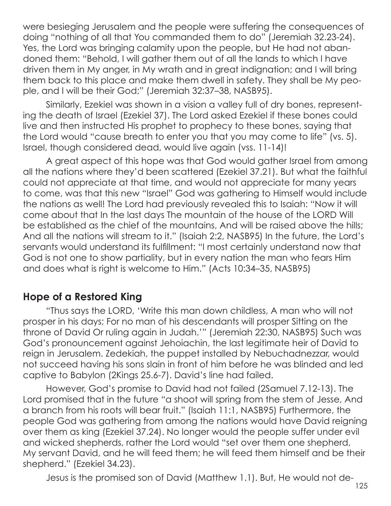were besieging Jerusalem and the people were suffering the consequences of doing "nothing of all that You commanded them to do" (Jeremiah 32.23-24). Yes, the Lord was bringing calamity upon the people, but He had not abandoned them: "Behold, I will gather them out of all the lands to which I have driven them in My anger, in My wrath and in great indignation; and I will bring them back to this place and make them dwell in safety. They shall be My people, and I will be their God;" (Jeremiah 32:37–38, NASB95).

Similarly, Ezekiel was shown in a vision a valley full of dry bones, representing the death of Israel (Ezekiel 37). The Lord asked Ezekiel if these bones could live and then instructed His prophet to prophecy to these bones, saying that the Lord would "cause breath to enter you that you may come to life" (vs. 5). Israel, though considered dead, would live again (vss. 11-14)!

A great aspect of this hope was that God would gather Israel from among all the nations where they'd been scattered (Ezekiel 37.21). But what the faithful could not appreciate at that time, and would not appreciate for many years to come, was that this new "Israel" God was gathering to Himself would include the nations as well! The Lord had previously revealed this to Isaiah: "Now it will come about that In the last days The mountain of the house of the LORD Will be established as the chief of the mountains, And will be raised above the hills; And all the nations will stream to it." (Isaiah 2:2, NASB95) In the future, the Lord's servants would understand its fulfillment: "I most certainly understand now that God is not one to show partiality, but in every nation the man who fears Him and does what is right is welcome to Him." (Acts 10:34–35, NASB95)

### **Hope of a Restored King**

"Thus says the LORD, 'Write this man down childless, A man who will not prosper in his days; For no man of his descendants will prosper Sitting on the throne of David Or ruling again in Judah.'" (Jeremiah 22:30, NASB95) Such was God's pronouncement against Jehoiachin, the last legitimate heir of David to reign in Jerusalem. Zedekiah, the puppet installed by Nebuchadnezzar, would not succeed having his sons slain in front of him before he was blinded and led captive to Babylon (2Kings 25.6-7). David's line had failed.

However, God's promise to David had not failed (2Samuel 7.12-13). The Lord promised that in the future "a shoot will spring from the stem of Jesse, And a branch from his roots will bear fruit." (Isaiah 11:1, NASB95) Furthermore, the people God was gathering from among the nations would have David reigning over them as king (Ezekiel 37.24). No longer would the people suffer under evil and wicked shepherds, rather the Lord would "set over them one shepherd, My servant David, and he will feed them; he will feed them himself and be their shepherd." (Ezekiel 34.23).

Jesus is the promised son of David (Matthew 1.1). But, He would not de-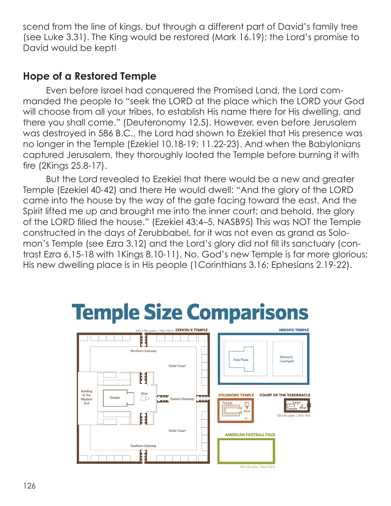scend from the line of kings, but through a different part of David's family tree (see Luke 3.31). The King would be restored (Mark 16.19); the Lord's promise to David would be kept!

#### **Hope of a Restored Temple**

Even before Israel had conquered the Promised Land, the Lord commanded the people to "seek the LORD at the place which the LORD your God will choose from all your tribes, to establish His name there for His dwelling, and there you shall come." (Deuteronomy 12.5). However, even before Jerusalem was destroyed in 586 B.C., the Lord had shown to Ezekiel that His presence was no longer in the Temple (Ezekiel 10.18-19; 11.22-23). And when the Babylonians captured Jerusalem, they thoroughly looted the Temple before burning it with fire (2Kings 25.8-17).

But the Lord revealed to Ezekiel that there would be a new and greater Temple (Ezekiel 40-42) and there He would dwell: "And the glory of the LORD came into the house by the way of the gate facing toward the east. And the Spirit lifted me up and brought me into the inner court; and behold, the glory of the LORD filled the house." (Ezekiel 43:4–5, NASB95) This was NOT the Temple constructed in the days of Zerubbabel, for it was not even as grand as Solomon's Temple (see Ezra 3.12) and the Lord's glory did not fill its sanctuary (contrast Ezra 6.15-18 with 1Kings 8.10-11). No, God's new Temple is far more glorious; His new dwelling place is in His people (1Corinthians 3.16; Ephesians 2.19-22).

# **Temple Size Comparisons**